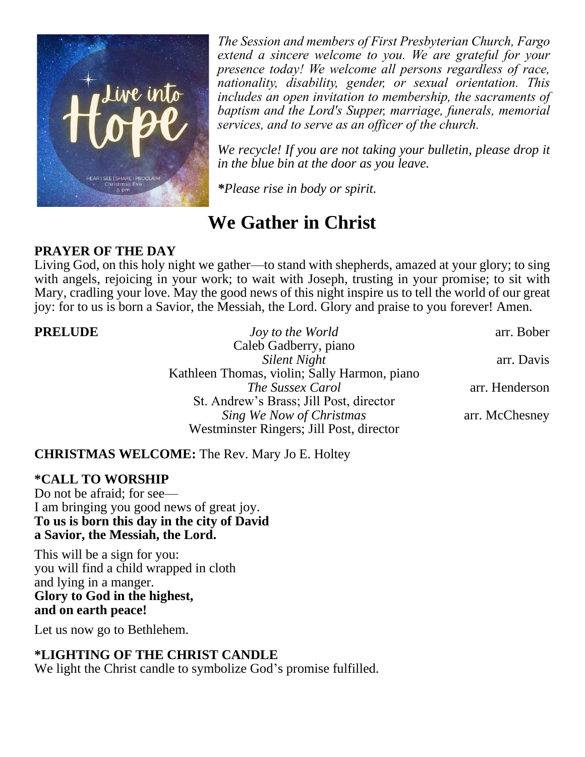

*The Session and members of First Presbyterian Church, Fargo extend a sincere welcome to you. We are grateful for your presence today! We welcome all persons regardless of race, nationality, disability, gender, or sexual orientation. This includes an open invitation to membership, the sacraments of baptism and the Lord's Supper, marriage, funerals, memorial services, and to serve as an officer of the church.*

*We recycle! If you are not taking your bulletin, please drop it in the blue bin at the door as you leave.*

*\*Please rise in body or spirit.*

# **We Gather in Christ**

## **PRAYER OF THE DAY**

Living God, on this holy night we gather—to stand with shepherds, amazed at your glory; to sing with angels, rejoicing in your work; to wait with Joseph, trusting in your promise; to sit with Mary, cradling your love. May the good news of this night inspire us to tell the world of our great joy: for to us is born a Savior, the Messiah, the Lord. Glory and praise to you forever! Amen.

#### **PRELUDE** *Joy to the World*

arr. Bober

| $0 \vee$ y to the HOTTH                      | $\mathbf{u}$ . Dout |
|----------------------------------------------|---------------------|
| Caleb Gadberry, piano                        |                     |
| Silent Night                                 | arr. Davis          |
| Kathleen Thomas, violin; Sally Harmon, piano |                     |
| The Sussex Carol                             | arr. Henderson      |
| St. Andrew's Brass; Jill Post, director      |                     |
| Sing We Now of Christmas                     | arr. McChesney      |
| Westminster Ringers; Jill Post, director     |                     |
|                                              |                     |

**CHRISTMAS WELCOME:** The Rev. Mary Jo E. Holtey

# **\*CALL TO WORSHIP**

Do not be afraid; for see— I am bringing you good news of great joy. **To us is born this day in the city of David a Savior, the Messiah, the Lord.**

This will be a sign for you: you will find a child wrapped in cloth and lying in a manger. **Glory to God in the highest, and on earth peace!**

Let us now go to Bethlehem.

## **\*LIGHTING OF THE CHRIST CANDLE**

We light the Christ candle to symbolize God's promise fulfilled.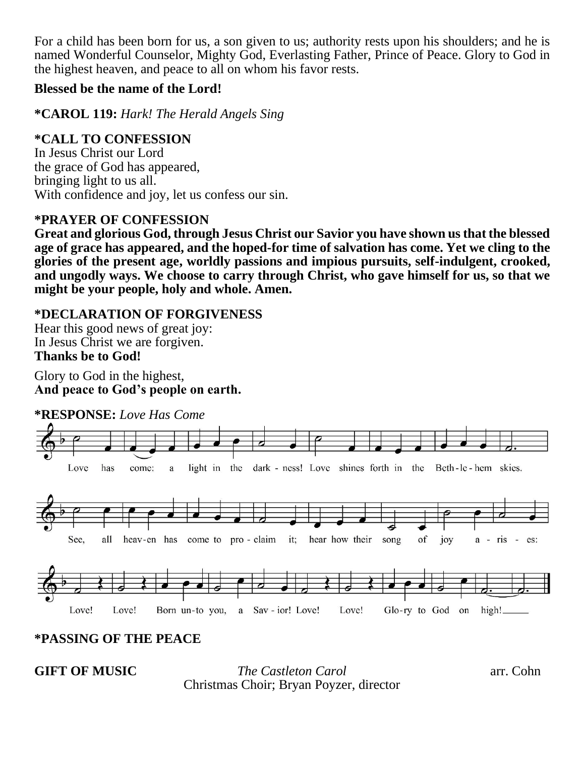For a child has been born for us, a son given to us; authority rests upon his shoulders; and he is named Wonderful Counselor, Mighty God, Everlasting Father, Prince of Peace. Glory to God in the highest heaven, and peace to all on whom his favor rests.

### **Blessed be the name of the Lord!**

**\*CAROL 119:** *Hark! The Herald Angels Sing*

## **\*CALL TO CONFESSION**

In Jesus Christ our Lord the grace of God has appeared, bringing light to us all. With confidence and joy, let us confess our sin.

## **\*PRAYER OF CONFESSION**

**Great and glorious God, through Jesus Christ our Savior you have shown us that the blessed age of grace has appeared, and the hoped-for time of salvation has come. Yet we cling to the glories of the present age, worldly passions and impious pursuits, self-indulgent, crooked, and ungodly ways. We choose to carry through Christ, who gave himself for us, so that we might be your people, holy and whole. Amen.**

### **\*DECLARATION OF FORGIVENESS**

Hear this good news of great joy: In Jesus Christ we are forgiven. **Thanks be to God!**

Glory to God in the highest, **And peace to God's people on earth.**

# **\*RESPONSE:** *Love Has Come*



## **\*PASSING OF THE PEACE**

#### **GIFT OF MUSIC** *The Castleton Carol* Christmas Choir; Bryan Poyzer, director

arr. Cohn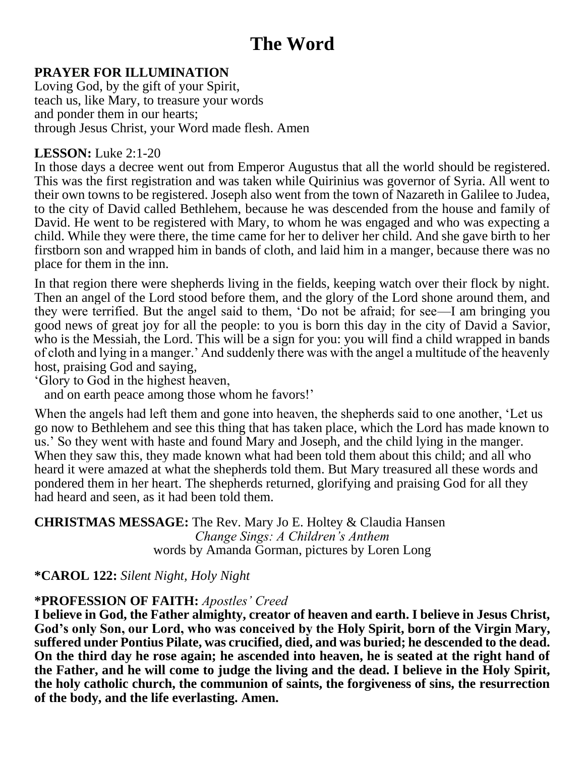# **The Word**

## **PRAYER FOR ILLUMINATION**

Loving God, by the gift of your Spirit, teach us, like Mary, to treasure your words and ponder them in our hearts; through Jesus Christ, your Word made flesh. Amen

#### **LESSON:** Luke 2:1-20

In those days a decree went out from Emperor Augustus that all the world should be registered. This was the first registration and was taken while Quirinius was governor of Syria. All went to their own towns to be registered. Joseph also went from the town of Nazareth in Galilee to Judea, to the city of David called Bethlehem, because he was descended from the house and family of David. He went to be registered with Mary, to whom he was engaged and who was expecting a child. While they were there, the time came for her to deliver her child. And she gave birth to her firstborn son and wrapped him in bands of cloth, and laid him in a manger, because there was no place for them in the inn.

In that region there were shepherds living in the fields, keeping watch over their flock by night. Then an angel of the Lord stood before them, and the glory of the Lord shone around them, and they were terrified. But the angel said to them, 'Do not be afraid; for see—I am bringing you good news of great joy for all the people: to you is born this day in the city of David a Savior, who is the Messiah, the Lord. This will be a sign for you: you will find a child wrapped in bands of cloth and lying in a manger.' And suddenly there was with the angel a multitude of the heavenly host, praising God and saying,

'Glory to God in the highest heaven,

and on earth peace among those whom he favors!'

When the angels had left them and gone into heaven, the shepherds said to one another, 'Let us go now to Bethlehem and see this thing that has taken place, which the Lord has made known to us.' So they went with haste and found Mary and Joseph, and the child lying in the manger. When they saw this, they made known what had been told them about this child; and all who heard it were amazed at what the shepherds told them. But Mary treasured all these words and pondered them in her heart. The shepherds returned, glorifying and praising God for all they had heard and seen, as it had been told them.

**CHRISTMAS MESSAGE:** The Rev. Mary Jo E. Holtey & Claudia Hansen *Change Sings: A Children's Anthem* words by Amanda Gorman, pictures by Loren Long

### **\*CAROL 122:** *Silent Night, Holy Night*

### **\*PROFESSION OF FAITH:** *Apostles' Creed*

**I believe in God, the Father almighty, creator of heaven and earth. I believe in Jesus Christ, God's only Son, our Lord, who was conceived by the Holy Spirit, born of the Virgin Mary, suffered under Pontius Pilate, was crucified, died, and was buried; he descended to the dead. On the third day he rose again; he ascended into heaven, he is seated at the right hand of the Father, and he will come to judge the living and the dead. I believe in the Holy Spirit, the holy catholic church, the communion of saints, the forgiveness of sins, the resurrection of the body, and the life everlasting. Amen.**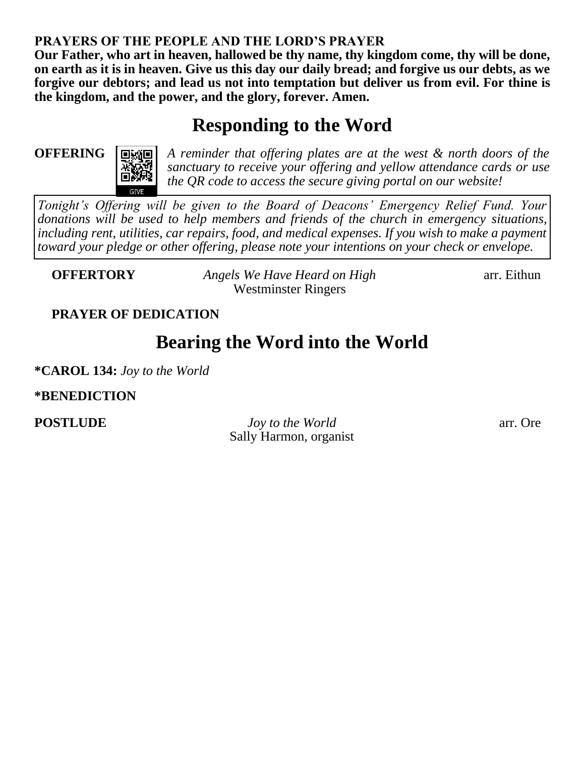**PRAYERS OF THE PEOPLE AND THE LORD'S PRAYER**

**Our Father, who art in heaven, hallowed be thy name, thy kingdom come, thy will be done, on earth as it is in heaven. Give us this day our daily bread; and forgive us our debts, as we forgive our debtors; and lead us not into temptation but deliver us from evil. For thine is the kingdom, and the power, and the glory, forever. Amen.**

# **Responding to the Word**



**OFFERING EXAMPLE** A reminder that offering plates are at the west & north doors of the *sanctuary to receive your offering and yellow attendance cards or use the QR code to access the secure giving portal on our website!*

*Tonight's Offering will be given to the Board of Deacons' Emergency Relief Fund. Your donations will be used to help members and friends of the church in emergency situations, including rent, utilities, car repairs, food, and medical expenses. If you wish to make a payment toward your pledge or other offering, please note your intentions on your check or envelope.*

**OFFERTORY** *Angels We Have Heard on High* Westminster Ringers

arr. Eithun

**PRAYER OF DEDICATION**

# **Bearing the Word into the World**

**\*CAROL 134:** *Joy to the World*

**\*BENEDICTION**

**POSTLUDE** *Joy to the World* Sally Harmon, organist arr. Ore